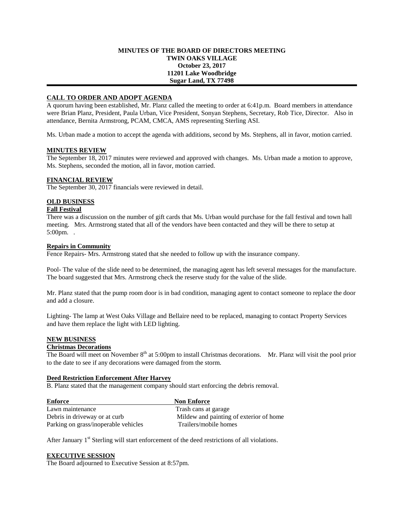## **MINUTES OF THE BOARD OF DIRECTORS MEETING TWIN OAKS VILLAGE October 23, 2017 11201 Lake Woodbridge Sugar Land, TX 77498**

# **CALL TO ORDER AND ADOPT AGENDA**

A quorum having been established, Mr. Planz called the meeting to order at 6:41p.m. Board members in attendance were Brian Planz, President, Paula Urban, Vice President, Sonyan Stephens, Secretary, Rob Tice, Director. Also in attendance, Bernita Armstrong, PCAM, CMCA, AMS representing Sterling ASI.

Ms. Urban made a motion to accept the agenda with additions, second by Ms. Stephens, all in favor, motion carried.

## **MINUTES REVIEW**

The September 18, 2017 minutes were reviewed and approved with changes. Ms. Urban made a motion to approve, Ms. Stephens, seconded the motion, all in favor, motion carried.

## **FINANCIAL REVIEW**

The September 30, 2017 financials were reviewed in detail.

#### **OLD BUSINESS**

#### **Fall Festival**

There was a discussion on the number of gift cards that Ms. Urban would purchase for the fall festival and town hall meeting. Mrs. Armstrong stated that all of the vendors have been contacted and they will be there to setup at 5:00pm. .

#### **Repairs in Community**

Fence Repairs- Mrs. Armstrong stated that she needed to follow up with the insurance company.

Pool- The value of the slide need to be determined, the managing agent has left several messages for the manufacture. The board suggested that Mrs. Armstrong check the reserve study for the value of the slide.

Mr. Planz stated that the pump room door is in bad condition, managing agent to contact someone to replace the door and add a closure.

Lighting- The lamp at West Oaks Village and Bellaire need to be replaced, managing to contact Property Services and have them replace the light with LED lighting.

# **NEW BUSINESS**

#### **Christmas Decorations**

The Board will meet on November  $8<sup>th</sup>$  at 5:00pm to install Christmas decorations. Mr. Planz will visit the pool prior to the date to see if any decorations were damaged from the storm.

## **Deed Restriction Enforcement After Harvey**

B. Planz stated that the management company should start enforcing the debris removal.

| Enforce                              | <b>Non Enforce</b>                      |
|--------------------------------------|-----------------------------------------|
| Lawn maintenance                     | Trash cans at garage                    |
| Debris in driveway or at curb        | Mildew and painting of exterior of home |
| Parking on grass/inoperable vehicles | Trailers/mobile homes                   |

After January  $1<sup>st</sup>$  Sterling will start enforcement of the deed restrictions of all violations.

#### **EXECUTIVE SESSION**

The Board adjourned to Executive Session at 8:57pm.